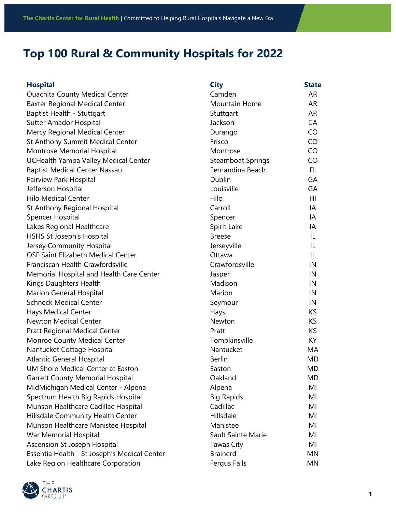## **Top 100 Rural & Community Hospitals for 2022**

| <b>Hospital</b>                              | <b>City</b>              | <b>State</b> |
|----------------------------------------------|--------------------------|--------------|
| <b>Ouachita County Medical Center</b>        | Camden                   | AR           |
| <b>Baxter Regional Medical Center</b>        | Mountain Home            | AR           |
| Baptist Health - Stuttgart                   | Stuttgart                | AR           |
| <b>Sutter Amador Hospital</b>                | Jackson                  | CA           |
| Mercy Regional Medical Center                | Durango                  | CO           |
| St Anthony Summit Medical Center             | Frisco                   | CO           |
| Montrose Memorial Hospital                   | Montrose                 | CO           |
| UCHealth Yampa Valley Medical Center         | <b>Steamboat Springs</b> | CO           |
| <b>Baptist Medical Center Nassau</b>         | Fernandina Beach         | FL.          |
| <b>Fairview Park Hospital</b>                | Dublin                   | GA           |
| Jefferson Hospital                           | Louisville               | GA           |
| <b>Hilo Medical Center</b>                   | Hilo                     | HI           |
| St Anthony Regional Hospital                 | Carroll                  | IA           |
| Spencer Hospital                             | Spencer                  | IA           |
| Lakes Regional Healthcare                    | Spirit Lake              | IA           |
| HSHS St Joseph's Hospital                    | <b>Breese</b>            | IL           |
| Jersey Community Hospital                    | Jerseyville              | IL           |
| OSF Saint Elizabeth Medical Center           | Ottawa                   | IL           |
| Franciscan Health Crawfordsville             | Crawfordsville           | IN           |
| Memorial Hospital and Health Care Center     | Jasper                   | IN           |
| Kings Daughters Health                       | Madison                  | IN           |
| <b>Marion General Hospital</b>               | Marion                   | IN           |
| <b>Schneck Medical Center</b>                | Seymour                  | IN           |
| <b>Hays Medical Center</b>                   | Hays                     | KS           |
| <b>Newton Medical Center</b>                 | Newton                   | <b>KS</b>    |
| <b>Pratt Regional Medical Center</b>         | Pratt                    | <b>KS</b>    |
| Monroe County Medical Center                 | Tompkinsville            | KY           |
| Nantucket Cottage Hospital                   | Nantucket                | МA           |
| <b>Atlantic General Hospital</b>             | <b>Berlin</b>            | MD           |
| UM Shore Medical Center at Easton            | Easton                   | MD           |
| <b>Garrett County Memorial Hospital</b>      | Oakland                  | MD           |
| MidMichigan Medical Center - Alpena          | Alpena                   | MI           |
| Spectrum Health Big Rapids Hospital          | <b>Big Rapids</b>        | MI           |
| Munson Healthcare Cadillac Hospital          | Cadillac                 | MI           |
| Hillsdale Community Health Center            | Hillsdale                | MI           |
| Munson Healthcare Manistee Hospital          | Manistee                 | MI           |
| War Memorial Hospital                        | Sault Sainte Marie       | MI           |
| Ascension St Joseph Hospital                 | Tawas City               | MI           |
| Essentia Health - St Joseph's Medical Center | <b>Brainerd</b>          | MN           |
| Lake Region Healthcare Corporation           | Fergus Falls             | MN           |

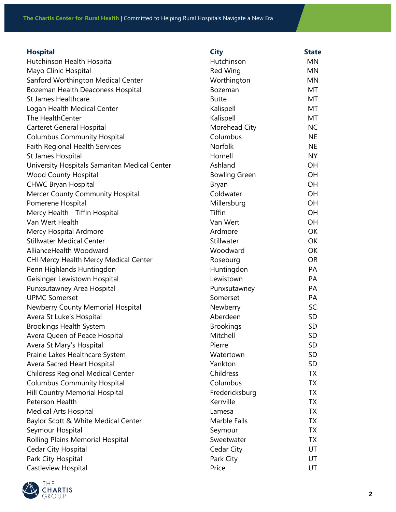**The Chartis Center for Rural Health** | Committed to Helping Rural Hospitals Navigate a New Era

## **Hospital City State**

| Hutchinson Health Hospital                    | Hutchinson           | MN        |
|-----------------------------------------------|----------------------|-----------|
| Mayo Clinic Hospital                          | Red Wing             | <b>MN</b> |
| Sanford Worthington Medical Center            | Worthington          | MN        |
| Bozeman Health Deaconess Hospital             | Bozeman              | MT        |
| St James Healthcare                           | <b>Butte</b>         | МT        |
| Logan Health Medical Center                   | Kalispell            | MT        |
| The HealthCenter                              | Kalispell            | MT        |
| <b>Carteret General Hospital</b>              | Morehead City        | <b>NC</b> |
| <b>Columbus Community Hospital</b>            | Columbus             | <b>NE</b> |
| <b>Faith Regional Health Services</b>         | Norfolk              | <b>NE</b> |
| St James Hospital                             | Hornell              | <b>NY</b> |
| University Hospitals Samaritan Medical Center | Ashland              | OH        |
| <b>Wood County Hospital</b>                   | <b>Bowling Green</b> | OH        |
| <b>CHWC Bryan Hospital</b>                    | Bryan                | OH        |
| Mercer County Community Hospital              | Coldwater            | OH        |
| Pomerene Hospital                             | Millersburg          | OH        |
| Mercy Health - Tiffin Hospital                | <b>Tiffin</b>        | OH        |
| Van Wert Health                               | Van Wert             | OH        |
| Mercy Hospital Ardmore                        | Ardmore              | OK        |
| <b>Stillwater Medical Center</b>              | Stillwater           | OK        |
| AllianceHealth Woodward                       | Woodward             | OK        |
| CHI Mercy Health Mercy Medical Center         | Roseburg             | <b>OR</b> |
| Penn Highlands Huntingdon                     | Huntingdon           | PA        |
| Geisinger Lewistown Hospital                  | Lewistown            | PA        |
| Punxsutawney Area Hospital                    | Punxsutawney         | PA        |
| <b>UPMC Somerset</b>                          | Somerset             | PA        |
| Newberry County Memorial Hospital             | Newberry             | SC        |
| Avera St Luke's Hospital                      | Aberdeen             | <b>SD</b> |
| <b>Brookings Health System</b>                | <b>Brookings</b>     | <b>SD</b> |
| Avera Queen of Peace Hospital                 | Mitchell             | SD        |
| Avera St Mary's Hospital                      | Pierre               | SD        |
| Prairie Lakes Healthcare System               | Watertown            | <b>SD</b> |
| Avera Sacred Heart Hospital                   | Yankton              | <b>SD</b> |
| <b>Childress Regional Medical Center</b>      | Childress            | TX        |
| <b>Columbus Community Hospital</b>            | Columbus             | TX        |
| Hill Country Memorial Hospital                | Fredericksburg       | <b>TX</b> |
| Peterson Health                               | Kerrville            | <b>TX</b> |
| <b>Medical Arts Hospital</b>                  | Lamesa               | <b>TX</b> |
| Baylor Scott & White Medical Center           | Marble Falls         | <b>TX</b> |
| Seymour Hospital                              | Seymour              | <b>TX</b> |
| Rolling Plains Memorial Hospital              | Sweetwater           | <b>TX</b> |
| <b>Cedar City Hospital</b>                    | Cedar City           | UT        |
| Park City Hospital                            | Park City            | UT        |
| Castleview Hospital                           | Price                | UT        |